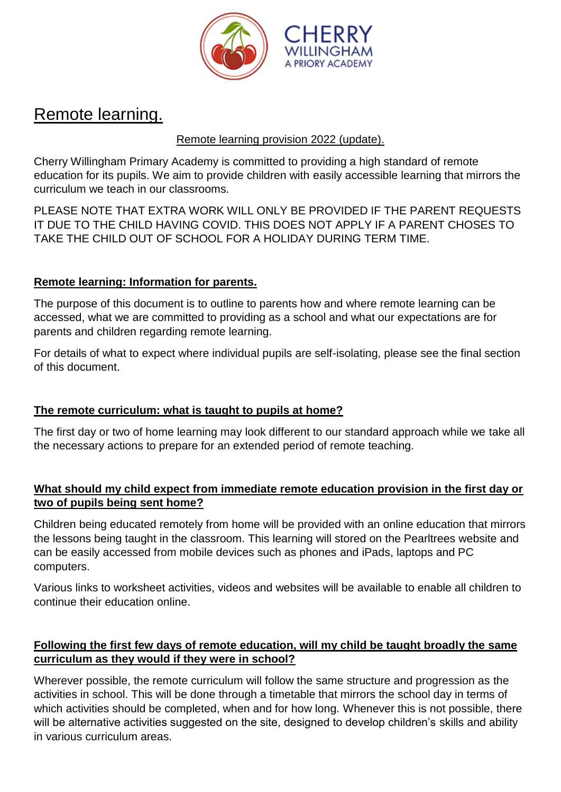

# Remote learning.

# Remote learning provision 2022 (update).

Cherry Willingham Primary Academy is committed to providing a high standard of remote education for its pupils. We aim to provide children with easily accessible learning that mirrors the curriculum we teach in our classrooms.

PLEASE NOTE THAT EXTRA WORK WILL ONLY BE PROVIDED IF THE PARENT REQUESTS IT DUE TO THE CHILD HAVING COVID. THIS DOES NOT APPLY IF A PARENT CHOSES TO TAKE THE CHILD OUT OF SCHOOL FOR A HOLIDAY DURING TERM TIME.

# **Remote learning: Information for parents.**

The purpose of this document is to outline to parents how and where remote learning can be accessed, what we are committed to providing as a school and what our expectations are for parents and children regarding remote learning.

For details of what to expect where individual pupils are self-isolating, please see the final section of this document.

# **The remote curriculum: what is taught to pupils at home?**

The first day or two of home learning may look different to our standard approach while we take all the necessary actions to prepare for an extended period of remote teaching.

# **What should my child expect from immediate remote education provision in the first day or two of pupils being sent home?**

Children being educated remotely from home will be provided with an online education that mirrors the lessons being taught in the classroom. This learning will stored on the Pearltrees website and can be easily accessed from mobile devices such as phones and iPads, laptops and PC computers.

Various links to worksheet activities, videos and websites will be available to enable all children to continue their education online.

# **Following the first few days of remote education, will my child be taught broadly the same curriculum as they would if they were in school?**

Wherever possible, the remote curriculum will follow the same structure and progression as the activities in school. This will be done through a timetable that mirrors the school day in terms of which activities should be completed, when and for how long. Whenever this is not possible, there will be alternative activities suggested on the site, designed to develop children's skills and ability in various curriculum areas.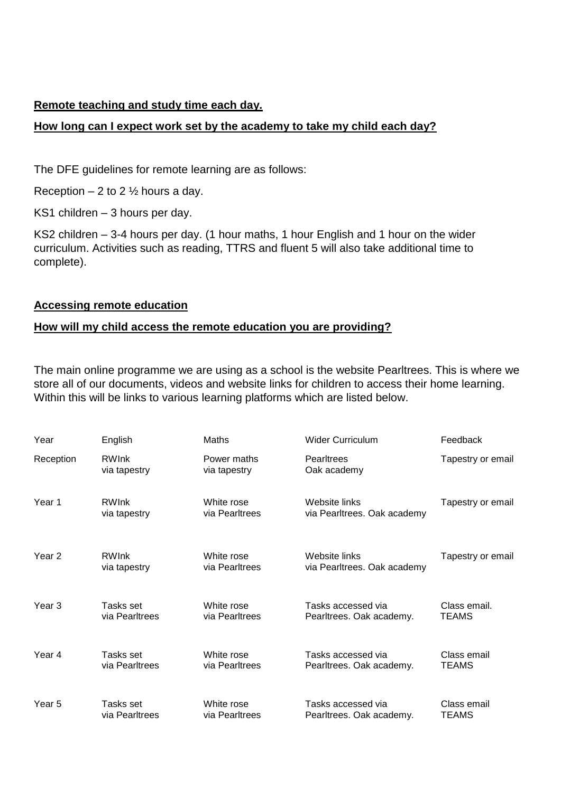#### **Remote teaching and study time each day.**

### **How long can I expect work set by the academy to take my child each day?**

The DFE guidelines for remote learning are as follows:

Reception  $-2$  to 2  $\frac{1}{2}$  hours a day.

KS1 children – 3 hours per day.

KS2 children – 3-4 hours per day. (1 hour maths, 1 hour English and 1 hour on the wider curriculum. Activities such as reading, TTRS and fluent 5 will also take additional time to complete).

#### **Accessing remote education**

#### **How will my child access the remote education you are providing?**

The main online programme we are using as a school is the website Pearltrees. This is where we store all of our documents, videos and website links for children to access their home learning. Within this will be links to various learning platforms which are listed below.

| Year              | English                      | Maths                        | <b>Wider Curriculum</b>                        | Feedback                    |
|-------------------|------------------------------|------------------------------|------------------------------------------------|-----------------------------|
| Reception         | <b>RWInk</b><br>via tapestry | Power maths<br>via tapestry  | <b>Pearltrees</b><br>Oak academy               | Tapestry or email           |
| Year 1            | <b>RWInk</b><br>via tapestry | White rose<br>via Pearltrees | Website links<br>via Pearltrees. Oak academy   | Tapestry or email           |
| Year 2            | <b>RWInk</b><br>via tapestry | White rose<br>via Pearltrees | Website links<br>via Pearltrees. Oak academy   | Tapestry or email           |
| Year <sub>3</sub> | Tasks set<br>via Pearltrees  | White rose<br>via Pearltrees | Tasks accessed via<br>Pearltrees. Oak academy. | Class email.<br>TEAMS       |
| Year 4            | Tasks set<br>via Pearltrees  | White rose<br>via Pearltrees | Tasks accessed via<br>Pearltrees. Oak academy. | Class email<br>TEAMS        |
| Year 5            | Tasks set<br>via Pearltrees  | White rose<br>via Pearltrees | Tasks accessed via<br>Pearltrees. Oak academy. | Class email<br><b>TEAMS</b> |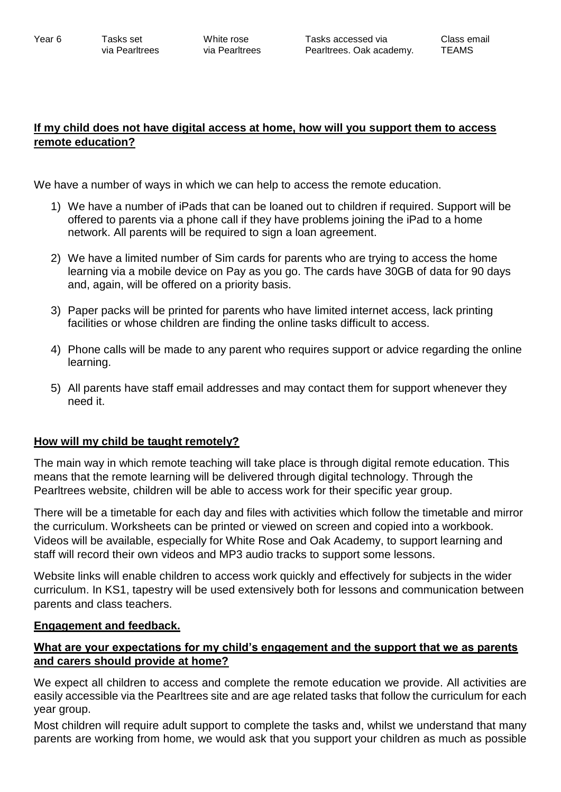# **If my child does not have digital access at home, how will you support them to access remote education?**

We have a number of ways in which we can help to access the remote education.

- 1) We have a number of iPads that can be loaned out to children if required. Support will be offered to parents via a phone call if they have problems joining the iPad to a home network. All parents will be required to sign a loan agreement.
- 2) We have a limited number of Sim cards for parents who are trying to access the home learning via a mobile device on Pay as you go. The cards have 30GB of data for 90 days and, again, will be offered on a priority basis.
- 3) Paper packs will be printed for parents who have limited internet access, lack printing facilities or whose children are finding the online tasks difficult to access.
- 4) Phone calls will be made to any parent who requires support or advice regarding the online learning.
- 5) All parents have staff email addresses and may contact them for support whenever they need it.

# **How will my child be taught remotely?**

The main way in which remote teaching will take place is through digital remote education. This means that the remote learning will be delivered through digital technology. Through the Pearltrees website, children will be able to access work for their specific year group.

There will be a timetable for each day and files with activities which follow the timetable and mirror the curriculum. Worksheets can be printed or viewed on screen and copied into a workbook. Videos will be available, especially for White Rose and Oak Academy, to support learning and staff will record their own videos and MP3 audio tracks to support some lessons.

Website links will enable children to access work quickly and effectively for subjects in the wider curriculum. In KS1, tapestry will be used extensively both for lessons and communication between parents and class teachers.

#### **Engagement and feedback.**

# **What are your expectations for my child's engagement and the support that we as parents and carers should provide at home?**

We expect all children to access and complete the remote education we provide. All activities are easily accessible via the Pearltrees site and are age related tasks that follow the curriculum for each year group.

Most children will require adult support to complete the tasks and, whilst we understand that many parents are working from home, we would ask that you support your children as much as possible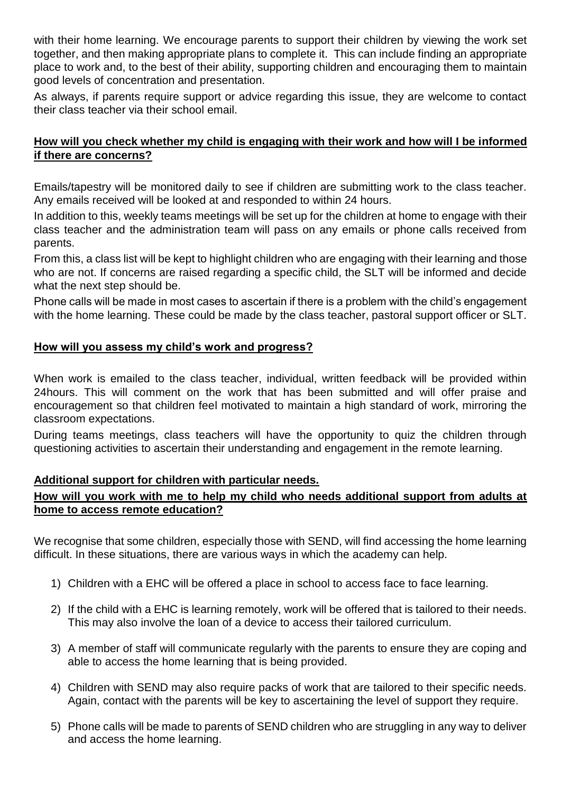with their home learning. We encourage parents to support their children by viewing the work set together, and then making appropriate plans to complete it. This can include finding an appropriate place to work and, to the best of their ability, supporting children and encouraging them to maintain good levels of concentration and presentation.

As always, if parents require support or advice regarding this issue, they are welcome to contact their class teacher via their school email.

### **How will you check whether my child is engaging with their work and how will I be informed if there are concerns?**

Emails/tapestry will be monitored daily to see if children are submitting work to the class teacher. Any emails received will be looked at and responded to within 24 hours.

In addition to this, weekly teams meetings will be set up for the children at home to engage with their class teacher and the administration team will pass on any emails or phone calls received from parents.

From this, a class list will be kept to highlight children who are engaging with their learning and those who are not. If concerns are raised regarding a specific child, the SLT will be informed and decide what the next step should be.

Phone calls will be made in most cases to ascertain if there is a problem with the child's engagement with the home learning. These could be made by the class teacher, pastoral support officer or SLT.

#### **How will you assess my child's work and progress?**

When work is emailed to the class teacher, individual, written feedback will be provided within 24hours. This will comment on the work that has been submitted and will offer praise and encouragement so that children feel motivated to maintain a high standard of work, mirroring the classroom expectations.

During teams meetings, class teachers will have the opportunity to quiz the children through questioning activities to ascertain their understanding and engagement in the remote learning.

# **Additional support for children with particular needs.**

# **How will you work with me to help my child who needs additional support from adults at home to access remote education?**

We recognise that some children, especially those with SEND, will find accessing the home learning difficult. In these situations, there are various ways in which the academy can help.

- 1) Children with a EHC will be offered a place in school to access face to face learning.
- 2) If the child with a EHC is learning remotely, work will be offered that is tailored to their needs. This may also involve the loan of a device to access their tailored curriculum.
- 3) A member of staff will communicate regularly with the parents to ensure they are coping and able to access the home learning that is being provided.
- 4) Children with SEND may also require packs of work that are tailored to their specific needs. Again, contact with the parents will be key to ascertaining the level of support they require.
- 5) Phone calls will be made to parents of SEND children who are struggling in any way to deliver and access the home learning.